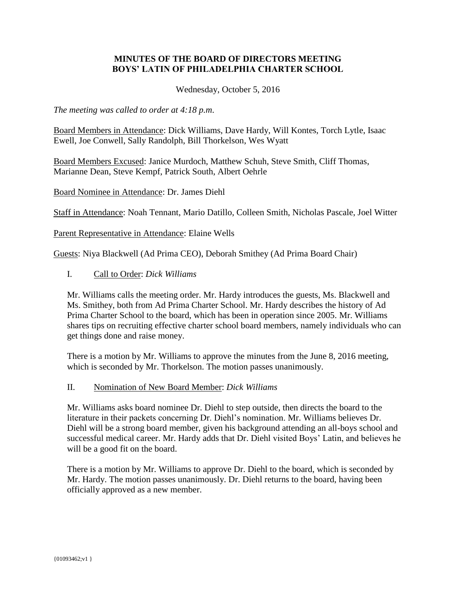# **MINUTES OF THE BOARD OF DIRECTORS MEETING BOYS' LATIN OF PHILADELPHIA CHARTER SCHOOL**

Wednesday, October 5, 2016

*The meeting was called to order at 4:18 p.m*.

Board Members in Attendance: Dick Williams, Dave Hardy, Will Kontes, Torch Lytle, Isaac Ewell, Joe Conwell, Sally Randolph, Bill Thorkelson, Wes Wyatt

Board Members Excused: Janice Murdoch, Matthew Schuh, Steve Smith, Cliff Thomas, Marianne Dean, Steve Kempf, Patrick South, Albert Oehrle

Board Nominee in Attendance: Dr. James Diehl

Staff in Attendance: Noah Tennant, Mario Datillo, Colleen Smith, Nicholas Pascale, Joel Witter

Parent Representative in Attendance: Elaine Wells

Guests: Niya Blackwell (Ad Prima CEO), Deborah Smithey (Ad Prima Board Chair)

### I. Call to Order: *Dick Williams*

Mr. Williams calls the meeting order. Mr. Hardy introduces the guests, Ms. Blackwell and Ms. Smithey, both from Ad Prima Charter School. Mr. Hardy describes the history of Ad Prima Charter School to the board, which has been in operation since 2005. Mr. Williams shares tips on recruiting effective charter school board members, namely individuals who can get things done and raise money.

There is a motion by Mr. Williams to approve the minutes from the June 8, 2016 meeting, which is seconded by Mr. Thorkelson. The motion passes unanimously.

#### II. Nomination of New Board Member: *Dick Williams*

Mr. Williams asks board nominee Dr. Diehl to step outside, then directs the board to the literature in their packets concerning Dr. Diehl's nomination. Mr. Williams believes Dr. Diehl will be a strong board member, given his background attending an all-boys school and successful medical career. Mr. Hardy adds that Dr. Diehl visited Boys' Latin, and believes he will be a good fit on the board.

There is a motion by Mr. Williams to approve Dr. Diehl to the board, which is seconded by Mr. Hardy. The motion passes unanimously. Dr. Diehl returns to the board, having been officially approved as a new member.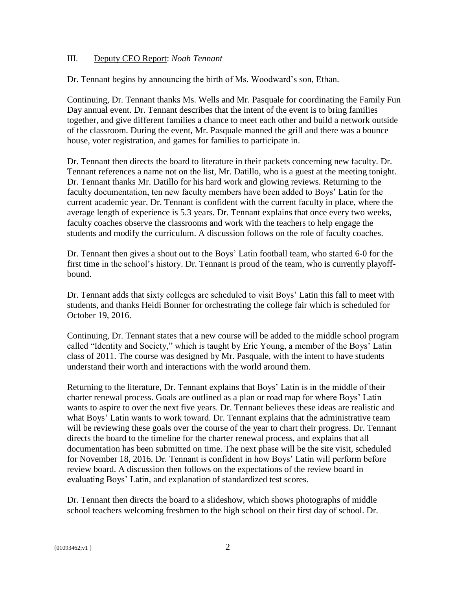#### III. Deputy CEO Report: *Noah Tennant*

Dr. Tennant begins by announcing the birth of Ms. Woodward's son, Ethan.

Continuing, Dr. Tennant thanks Ms. Wells and Mr. Pasquale for coordinating the Family Fun Day annual event. Dr. Tennant describes that the intent of the event is to bring families together, and give different families a chance to meet each other and build a network outside of the classroom. During the event, Mr. Pasquale manned the grill and there was a bounce house, voter registration, and games for families to participate in.

Dr. Tennant then directs the board to literature in their packets concerning new faculty. Dr. Tennant references a name not on the list, Mr. Datillo, who is a guest at the meeting tonight. Dr. Tennant thanks Mr. Datillo for his hard work and glowing reviews. Returning to the faculty documentation, ten new faculty members have been added to Boys' Latin for the current academic year. Dr. Tennant is confident with the current faculty in place, where the average length of experience is 5.3 years. Dr. Tennant explains that once every two weeks, faculty coaches observe the classrooms and work with the teachers to help engage the students and modify the curriculum. A discussion follows on the role of faculty coaches.

Dr. Tennant then gives a shout out to the Boys' Latin football team, who started 6-0 for the first time in the school's history. Dr. Tennant is proud of the team, who is currently playoffbound.

Dr. Tennant adds that sixty colleges are scheduled to visit Boys' Latin this fall to meet with students, and thanks Heidi Bonner for orchestrating the college fair which is scheduled for October 19, 2016.

Continuing, Dr. Tennant states that a new course will be added to the middle school program called "Identity and Society," which is taught by Eric Young, a member of the Boys' Latin class of 2011. The course was designed by Mr. Pasquale, with the intent to have students understand their worth and interactions with the world around them.

Returning to the literature, Dr. Tennant explains that Boys' Latin is in the middle of their charter renewal process. Goals are outlined as a plan or road map for where Boys' Latin wants to aspire to over the next five years. Dr. Tennant believes these ideas are realistic and what Boys' Latin wants to work toward. Dr. Tennant explains that the administrative team will be reviewing these goals over the course of the year to chart their progress. Dr. Tennant directs the board to the timeline for the charter renewal process, and explains that all documentation has been submitted on time. The next phase will be the site visit, scheduled for November 18, 2016. Dr. Tennant is confident in how Boys' Latin will perform before review board. A discussion then follows on the expectations of the review board in evaluating Boys' Latin, and explanation of standardized test scores.

Dr. Tennant then directs the board to a slideshow, which shows photographs of middle school teachers welcoming freshmen to the high school on their first day of school. Dr.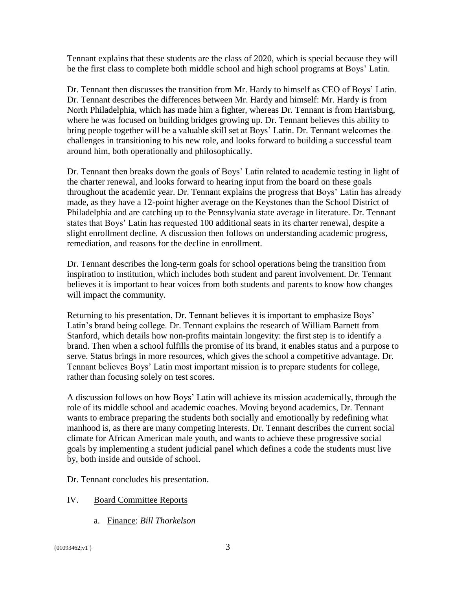Tennant explains that these students are the class of 2020, which is special because they will be the first class to complete both middle school and high school programs at Boys' Latin.

Dr. Tennant then discusses the transition from Mr. Hardy to himself as CEO of Boys' Latin. Dr. Tennant describes the differences between Mr. Hardy and himself: Mr. Hardy is from North Philadelphia, which has made him a fighter, whereas Dr. Tennant is from Harrisburg, where he was focused on building bridges growing up. Dr. Tennant believes this ability to bring people together will be a valuable skill set at Boys' Latin. Dr. Tennant welcomes the challenges in transitioning to his new role, and looks forward to building a successful team around him, both operationally and philosophically.

Dr. Tennant then breaks down the goals of Boys' Latin related to academic testing in light of the charter renewal, and looks forward to hearing input from the board on these goals throughout the academic year. Dr. Tennant explains the progress that Boys' Latin has already made, as they have a 12-point higher average on the Keystones than the School District of Philadelphia and are catching up to the Pennsylvania state average in literature. Dr. Tennant states that Boys' Latin has requested 100 additional seats in its charter renewal, despite a slight enrollment decline. A discussion then follows on understanding academic progress, remediation, and reasons for the decline in enrollment.

Dr. Tennant describes the long-term goals for school operations being the transition from inspiration to institution, which includes both student and parent involvement. Dr. Tennant believes it is important to hear voices from both students and parents to know how changes will impact the community.

Returning to his presentation, Dr. Tennant believes it is important to emphasize Boys' Latin's brand being college. Dr. Tennant explains the research of William Barnett from Stanford, which details how non-profits maintain longevity: the first step is to identify a brand. Then when a school fulfills the promise of its brand, it enables status and a purpose to serve. Status brings in more resources, which gives the school a competitive advantage. Dr. Tennant believes Boys' Latin most important mission is to prepare students for college, rather than focusing solely on test scores.

A discussion follows on how Boys' Latin will achieve its mission academically, through the role of its middle school and academic coaches. Moving beyond academics, Dr. Tennant wants to embrace preparing the students both socially and emotionally by redefining what manhood is, as there are many competing interests. Dr. Tennant describes the current social climate for African American male youth, and wants to achieve these progressive social goals by implementing a student judicial panel which defines a code the students must live by, both inside and outside of school.

Dr. Tennant concludes his presentation.

# IV. Board Committee Reports

a. Finance: *Bill Thorkelson*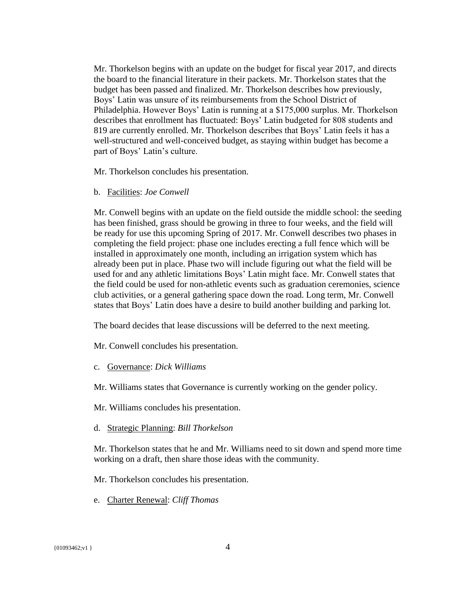Mr. Thorkelson begins with an update on the budget for fiscal year 2017, and directs the board to the financial literature in their packets. Mr. Thorkelson states that the budget has been passed and finalized. Mr. Thorkelson describes how previously, Boys' Latin was unsure of its reimbursements from the School District of Philadelphia. However Boys' Latin is running at a \$175,000 surplus. Mr. Thorkelson describes that enrollment has fluctuated: Boys' Latin budgeted for 808 students and 819 are currently enrolled. Mr. Thorkelson describes that Boys' Latin feels it has a well-structured and well-conceived budget, as staying within budget has become a part of Boys' Latin's culture.

Mr. Thorkelson concludes his presentation.

b. Facilities: *Joe Conwell*

Mr. Conwell begins with an update on the field outside the middle school: the seeding has been finished, grass should be growing in three to four weeks, and the field will be ready for use this upcoming Spring of 2017. Mr. Conwell describes two phases in completing the field project: phase one includes erecting a full fence which will be installed in approximately one month, including an irrigation system which has already been put in place. Phase two will include figuring out what the field will be used for and any athletic limitations Boys' Latin might face. Mr. Conwell states that the field could be used for non-athletic events such as graduation ceremonies, science club activities, or a general gathering space down the road. Long term, Mr. Conwell states that Boys' Latin does have a desire to build another building and parking lot.

The board decides that lease discussions will be deferred to the next meeting.

Mr. Conwell concludes his presentation.

c. Governance: *Dick Williams*

Mr. Williams states that Governance is currently working on the gender policy.

Mr. Williams concludes his presentation.

d. Strategic Planning: *Bill Thorkelson*

Mr. Thorkelson states that he and Mr. Williams need to sit down and spend more time working on a draft, then share those ideas with the community.

Mr. Thorkelson concludes his presentation.

e. Charter Renewal: *Cliff Thomas*